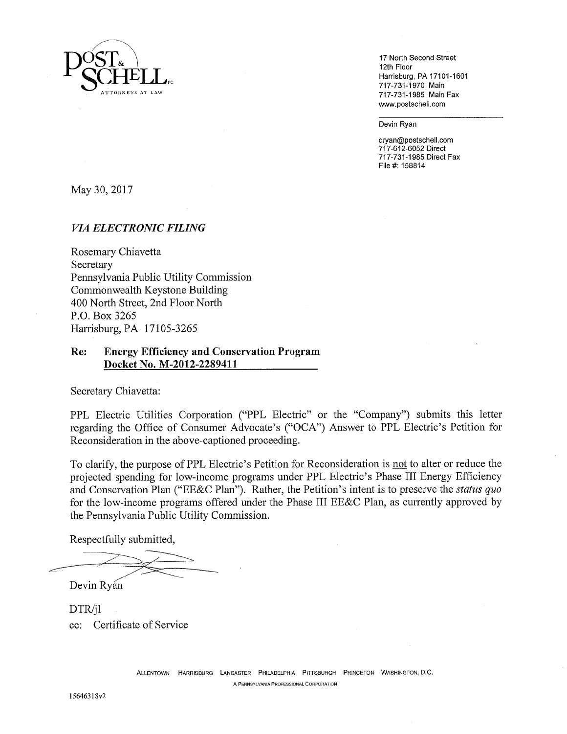

12th Floor Harrisburg, PA 17101-1601 717-731-1970 Main 717-731-1985 Main Fax www.postscheli.com

Devin Ryan

dryan@postschell.com 717-612-6052 Direct 717-731-1985 Direct Fax File#: 158814

May 30, 2017

## *VIA ELECTRONIC FILING*

Rosemary Chiavetta Secretary Pennsylvania Public Utility Commission Commonwealth Keystone Building 400 North Street, 2nd Floor North P.O. Box 3265 Harrisburg, PA 17105-3265

## **Re: Energy Efficiency and Conservation Program Docket No. M-2012-2289411**

Secretary Chiavetta:

PPL Electric Utilities Corporation ("PPL Electric" or the "Company") submits this letter regarding the Office of Consumer Advocate's ("OCA") Answer to PPL Electric's Petition for Reconsideration in the above-captioned proceeding.

To clarify, the purpose of PPL Electric's Petition for Reconsideration is not to alter or reduce the projected spending for low-income programs under PPL Electric's Phase III Energy Efficiency and Conservation Plan ("EE&C Plan"). Rather, the Petition's intent is to preserve the *status quo*  for the low-income programs offered under the Phase III EE&C Plan, as currently approved by the Pennsylvania Public Utility Commission.

Respectfully submitted,

Devin Ryan

DTR/jl cc: Certificate of Service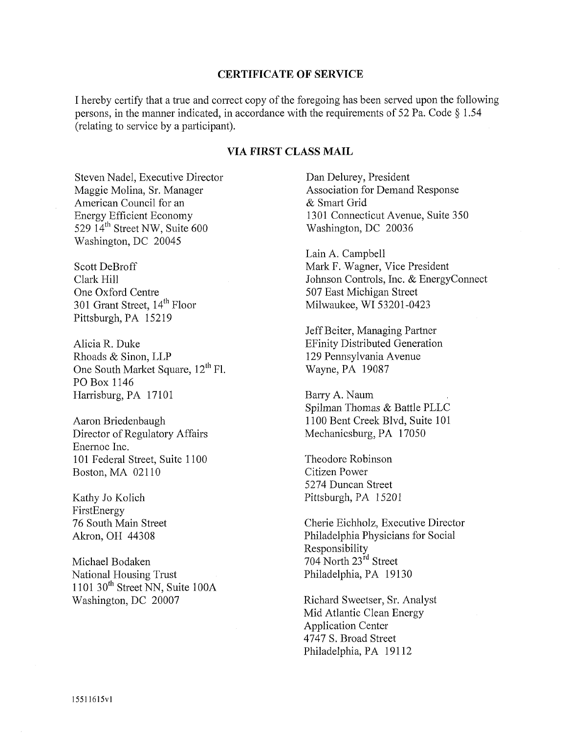## **CERTIFICATE OF SERVICE**

I hereby certify that a true and correct copy of the foregoing has been served upon the following persons, in the manner indicated, in accordance with the requirements of 52 Pa. Code § 1.54 (relating to service by a participant).

## **VIA FIRST CLASS MAIL**

Steven Nadel, Executive Director Maggie Molina, Sr. Manager American Council for an Energy Efficient Economy 529  $14^{\text{th}}$  Street NW, Suite 600 Washington, DC 20045

Scott DeBroff Clark Hill One Oxford Centre 301 Grant Street, 14<sup>th</sup> Floor Pittsburgh, PA 15219

Alicia R. Duke Rhoads & Sinon, LLP One South Market Square, 12<sup>th</sup> Fl. PO Box 1146 Harrisburg, PA 17101

Aaron Briedenbaugh Director of Regulatory Affairs Enernoc Inc. 101 Federal Street, Suite 1100 Boston, MA 02110

Kathy Jo Kolich FirstEnergy 76 South Main Street Akron, OH 44308

Michael Bodaken National Housing Trust 1101 30 $th$  Street NN, Suite 100A Washington, DC 20007

Dan Delurey, President Association for Demand Response & Smart Grid 1301 Connecticut Avenue, Suite 350 Washington, DC 20036

Lain A. Campbell Mark F. Wagner, Vice President Johnson Controls, Inc. & EnergyConnect 507 East Michigan Street Milwaukee, WI53201-0423

Jeff Beiter, Managing Partner EFinity Distributed Generation 129 Pennsylvania Avenue Wayne, PA 19087

Barry A. Naum . Spilman Thomas & Battle PLLC 1100 Bent Creek Blvd, Suite 101 Mechanicsburg, PA 17050

Theodore Robinson Citizen Power 5274 Duncan Street Pittsburgh, PA 15201

Cherie Eichholz, Executive Director Philadelphia Physicians for Social Responsibility 704 North 23rd Street Philadelphia, PA 19130

Richard Sweetser, Sr. Analyst Mid Atlantic Clean Energy Application Center 4747 S. Broad Street Philadelphia, PA 19112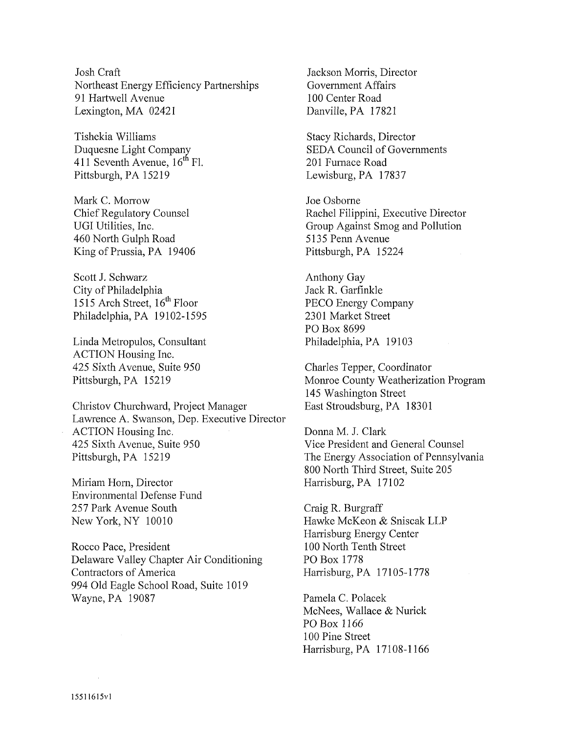Josh Craft Northeast Energy Efficiency Partnerships 91 Hartwell Avenue Lexington, MA 02421

Tishekia Williams Duquesne Light Company 411 Seventh Avenue,  $16^{th}$  Fl. Pittsburgh, PA 15219

Mark C. Morrow Chief Regulatory Counsel UGI Utilities, Inc. 460 North Gulph Road King of Prussia, PA 19406

Scott J. Schwarz City of Philadelphia 1515 Arch Street, 16<sup>th</sup> Floor Philadelphia, PA 19102-1595

Linda Metropulos, Consultant ACTION Housing Inc. 425 Sixth Avenue, Suite 950 Pittsburgh, PA 15219

Christov Churchward, Project Manager Lawrence A. Swanson, Dep. Executive Director ACTION Housing Inc. 425 Sixth Avenue, Suite 950 Pittsburgh, PA 15219

Miriam Horn, Director Environmental Defense Fund 257 Park Avenue South New York, NY 10010

Rocco Pace, President Delaware Valley Chapter Air Conditioning Contractors of America 994 Old Eagle School Road, Suite 1019 Wayne, PA 19087

Jackson Morris, Director Government Affairs 100 Center Road Danville, PA 17821

Stacy Richards, Director SEDA Council of Governments 201 Furnace Road Lewisburg, PA 17837

Joe Osborne Rachel Filippini, Executive Director Group Against Smog and Pollution 5135 Penn Avenue Pittsburgh, PA 15224

Anthony Gay Jack R. Garfinkle PECO Energy Company 2301 Market Street PO Box 8699 Philadelphia, PA 19103

Charles Tepper, Coordinator Monroe County Weatherization Program 145 Washington Street East Stroudsburg, PA 18301

Donna M. J. Clark Vice President and General Counsel The Energy Association of Pennsylvania 800 North Third Street, Suite 205 Harrisburg, PA 17102

Craig R. Burgraff Hawke McKeon & Sniscak LLP Harrisburg Energy Center 100 North Tenth Street PO Box 1778 Harrisburg, PA 17105-1778

Pamela C. Polacek McNees, Wallace & Nurick PO Box 1166 100 Pine Street Harrisburg, PA 17108-1166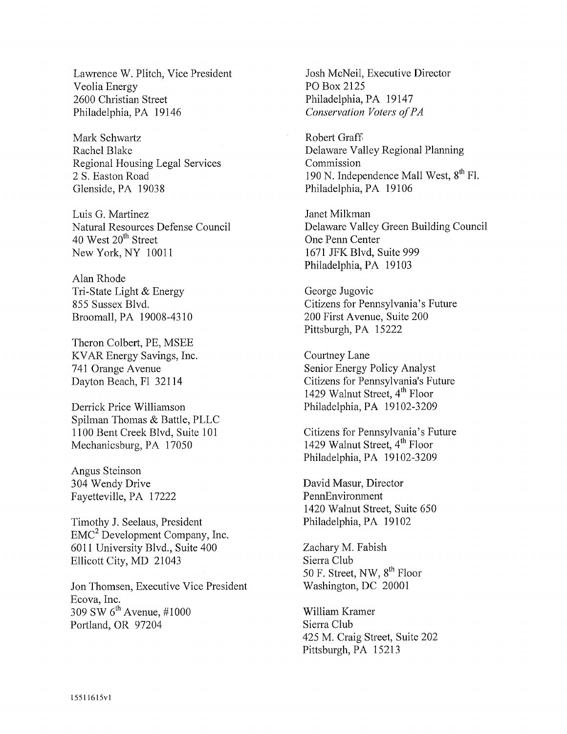Lawrence W. Plitch, Vice President Veolia Energy 2600 Christian Street Philadelphia, PA 19146

Mark Schwartz Rachel Blake Regional Housing Legal Services 2 S, Easton Road Glenside, PA 19038

Luis G. Martinez Natural Resources Defense Council 40 West  $20<sup>th</sup>$  Street New York, NY 10011

Alan Rhode Tri-State Light & Energy 855 Sussex Blvd. Broomall, PA 19008-4310

Theron Colbert, PE, MSEE KVAR Energy Savings, Inc. 741 Orange Avenue Dayton Beach, F1 32114

Derrick Price Williamson Spilman Thomas & Battle, PLLC 1100 Bent Creek Blvd, Suite 101 Mechanicsburg, PA 17050

Angus Steinson 304 Wendy Drive Fayetteville, PA 17222

Timothy J. Seelaus, President EMC2 Development Company, Inc. 6011 University Blvd., Suite 400 Ellicott City, MD 21043

Jon Thomsen, Executive Vice President Ecova, Inc. 309 SW  $6^{\text{th}}$  Avenue, #1000 Portland, OR 97204

Josh McNeil, Executive Director PO Box 2125 Philadelphia, PA 19147 *Conservation Voters of PA* 

Robert Graff Delaware Valley Regional Planning Commission 190 N. Independence Mall West,  $8<sup>th</sup>$  Fl. Philadelphia, PA 19106

Janet Milkman Delaware Valley Green Building Council One Penn Center 1671 JFK Blvd, Suite 999 Philadelphia, PA 19103

George Jugovic Citizens for Pennsylvania's Future 200 First Avenue, Suite 200 Pittsburgh, PA 15222

Courtney Lane Senior Energy Policy Analyst Citizens for Pennsylvania's Future 1429 Walnut Street, 4<sup>th</sup> Floor Philadelphia, PA 19102-3209

Citizens for Pennsylvania's Future 1429 Walnut Street, 4<sup>th</sup> Floor Philadelphia, PA 19102-3209

David Masur, Director PennEnvironment 1420 Walnut Street, Suite 650 Philadelphia, PA 19102

Zachary M. Fabish Sierra Club 50 F. Street, NW,  $8<sup>th</sup>$  Floor Washington, DC 20001

William Kramer Sierra Club 425 M. Craig Street, Suite 202 Pittsburgh, PA 15213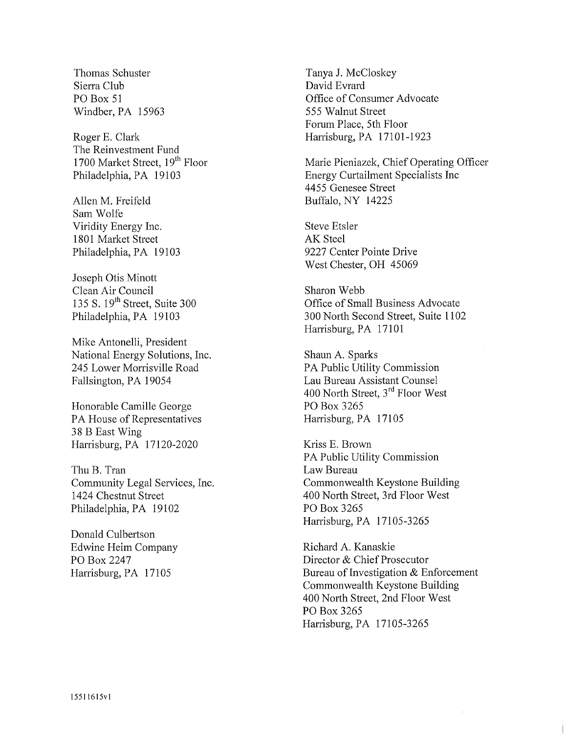Thomas Schuster Sierra Club PO Box 51 Windber, PA 15963

Roger E. Clark The Reinvestment Fund 1700 Market Street, 19<sup>th</sup> Floor Philadelphia, PA 19103

Allen M. Freifeld Sam Wolfe Viridity Energy Inc. 1801 Market Street Philadelphia, PA 19103

Joseph Otis Minott Clean Air Council 135 S. 19<sup>th</sup> Street, Suite 300 Philadelphia, PA 19103

Mike Antonelli, President National Energy Solutions, Inc. 245 Lower Morrisville Road Fallsington, PA 19054

Honorable Camille George PA House of Representatives 38 B East Wing Harrisburg, PA 17120-2020

Thu B. Tran Community Legal Services, Inc. 1424 Chestnut Street Philadelphia, PA 19102

Donald Culbertson Edwine Heim Company PO Box 2247 Harrisburg, PA 17105

Tanya J. McCloskey David Evrard Office of Consumer Advocate 555 Walnut Street Forum Place, 5th Floor Harrisburg, PA 17101-1923

Marie Pieniazek, Chief Operating Officer Energy Curtailment Specialists Inc 4455 Genesee Street Buffalo, NY 14225

Steve Etsler AK Steel 9227 Center Pointe Drive West Chester, OH 45069

Sharon Webb Office of Small Business Advocate 300 North Second Street, Suite 1102 Harrisburg, PA 17101

Shaun A. Sparks PA Public Utility Commission Lau Bureau Assistant Counsel 400 North Street, 3<sup>rd</sup> Floor West PO Box 3265 Harrisburg, PA 17105

Kriss E. Brown PA Public Utility Commission Law Bureau Commonwealth Keystone Building 400 North Street, 3rd Floor West PO Box 3265 Harrisburg, PA 17105-3265

Richard A, Kanaskie Director & Chief Prosecutor Bureau of Investigation & Enforcement Commonwealth Keystone Building 400 North Street, 2nd Floor West PO Box 3265 Harrisburg, PA 17105-3265